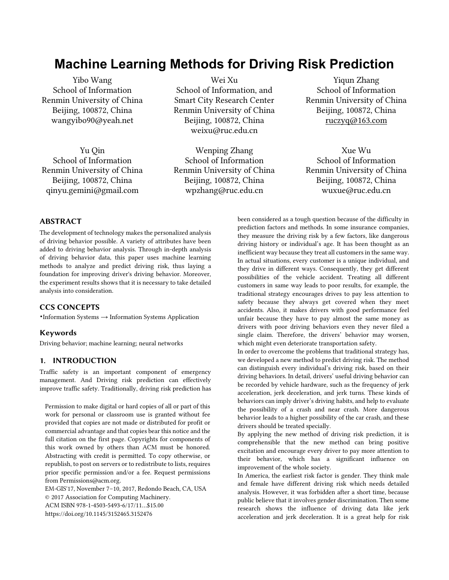# **Machine Learning Methods for Driving Risk Prediction**

Yibo Wang School of Information Renmin University of China Beijing, 100872, China wangyibo90@yeah.net

Yu Qin School of Information Renmin University of China Beijing, 100872, China qinyu.gemini@gmail.com

Wei Xu School of Information, and Smart City Research Center Renmin University of China Beijing, 100872, China weixu@ruc.edu.cn

Wenping Zhang School of Information Renmin University of China Beijing, 100872, China wpzhang@ruc.edu.cn

Yiqun Zhang School of Information Renmin University of China Beijing, 100872, China [ruczyq@163.com](mailto:ruczyq@163.com)

Xue Wu School of Information Renmin University of China Beijing, 100872, China [wuxue@ruc.edu.cn](mailto:wuxue@ruc.edu.cn)

## ABSTRACT

The development of technology makes the personalized analysis of driving behavior possible. A variety of attributes have been added to driving behavior analysis. Through in-depth analysis of driving behavior data, this paper uses machine learning methods to analyze and predict driving risk, thus laying a foundation for improving driver's driving behavior. Moreover, the experiment results shows that it is necessary to take detailed analysis into consideration.

## CCS CONCEPTS

•Information Systems → Information Systems Application

#### Keywords

Driving behavior; machine learning; neural networks

## 1. INTRODUCTION

Traffic safety is an important component of emergency management. And Driving risk prediction can effectively improve traffic safety. Traditionally, driving risk prediction has

Permission to make digital or hard copies of all or part of this work for personal or classroom use is granted without fee provided that copies are not made or distributed for profit or commercial advantage and that copies bear this notice and the full citation on the first page. Copyrights for components of this work owned by others than ACM must be honored. Abstracting with credit is permitted. To copy otherwise, or republish, to post on servers or to redistribute to lists, requires prior specific permission and/or a fee. Request permissions from Permissions@acm.org.

EM-GIS'17, November 7–10, 2017, Redondo Beach, CA, USA © 2017 Association for Computing Machinery. ACM ISBN 978-1-4503-5493-6/17/11…\$15.00 https://doi.org/10.1145/3152465.3152476

been considered as a tough question because of the difficulty in prediction factors and methods. In some insurance companies, they measure the driving risk by a few factors, like dangerous driving history or individual's age. It has been thought as an inefficient way because they treat all customers in the same way. In actual situations, every customer is a unique individual, and they drive in different ways. Consequently, they get different possibilities of the vehicle accident. Treating all different customers in same way leads to poor results, for example, the traditional strategy encourages drives to pay less attention to safety because they always get covered when they meet accidents. Also, it makes drivers with good performance feel unfair because they have to pay almost the same money as drivers with poor driving behaviors even they never filed a single claim. Therefore, the drivers' behavior may worsen, which might even deteriorate transportation safety.

In order to overcome the problems that traditional strategy has, we developed a new method to predict driving risk. The method can distinguish every individual's driving risk, based on their driving behaviors. In detail, drivers' useful driving behavior can be recorded by vehicle hardware, such as the frequency of jerk acceleration, jerk deceleration, and jerk turns. These kinds of behaviors can imply driver's driving habits, and help to evaluate the possibility of a crash and near crash. More dangerous behavior leads to a higher possibility of the car crash, and these drivers should be treated specially.

By applying the new method of driving risk prediction, it is comprehensible that the new method can bring positive excitation and encourage every driver to pay more attention to their behavior, which has a significant influence on improvement of the whole society.

In America, the earliest risk factor is gender. They think male and female have different driving risk which needs detailed analysis. However, it was forbidden after a short time, because public believe that it involves gender discrimination. Then some research shows the influence of driving data like jerk acceleration and jerk deceleration. It is a great help for risk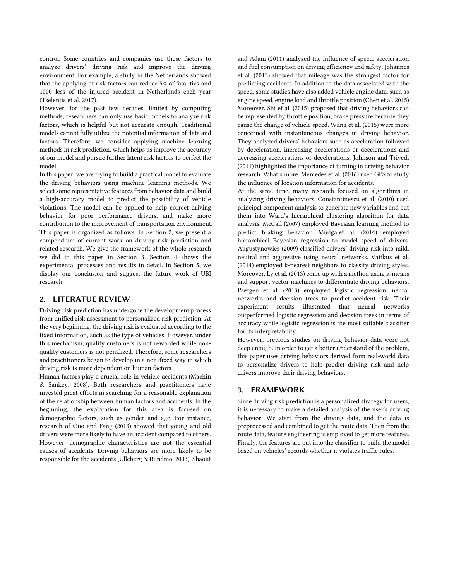control. Some countries and companies use these factors to analyze drivers' driving risk and improve the driving environment. For example, a study in the Netherlands showed that the applying of risk factors can reduce 5% of fatalities and 1000 less of the injured accident in Netherlands each year (Tselentis et al. 2017).

However, for the past few decades, limited by computing methods, researchers can only use basic models to analyze risk factors, which is helpful but not accurate enough. Traditional models cannot fully utilize the potential information of data and factors. Therefore, we consider applying machine learning methods in risk prediction, which helps us improve the accuracy of our model and pursue further latent risk factors to perfect the model.

In this paper, we are trying to build a practical model to evaluate the driving behaviors using machine learning methods. We select some representative features from behavior data and build a high-accuracy model to predict the possibility of vehicle violations. The model can be applied to help correct driving behavior for poor performance drivers, and make more contribution to the improvement of transportation environment. This paper is organized as follows. In Section 2, we present a compendium of current work on driving risk prediction and related research. We give the framework of the whole research we did in this paper in Section 3. Section 4 shows the experimental processes and results in detail. In Section 5, we display our conclusion and suggest the future work of UBI research.

## 2. LITERATUE REVIEW

Driving risk prediction has undergone the development process from unified risk assessment to personalized risk prediction. At the very beginning, the driving risk is evaluated according to the fixed information, such as the type of vehicles. However, under this mechanism, quality customers is not rewarded while nonquality customers is not penalized. Therefore, some researchers and practitioners began to develop in a non-fixed way in which driving risk is more dependent on human factors.

Human factors play a crucial role in vehicle accidents (Machin & Sankey, 2008). Both researchers and practitioners have invested great efforts in searching for a reasonable explanation of the relationship between human factors and accidents. In the beginning, the exploration for this area is focused on demographic factors, such as gender and age. For instance, research of Guo and Fang (2013) showed that young and old drivers were more likely to have an accident compared to others. However, demographic characteristics are not the essential causes of accidents. Driving behaviors are more likely to be responsible for the accidents (Ulleberg & Rundmo, 2003). Shaout and Adam (2011) analyzed the influence of speed, acceleration and fuel consumption on driving efficiency and safety. Johannes et al. (2013) showed that mileage was the strongest factor for predicting accidents. In addition to the data associated with the speed, some studies have also added vehicle engine data, such as engine speed, engine load and throttle position (Chen et al. 2015). Moreover, Shi et al. (2015) proposed that driving behaviors can be represented by throttle position, brake pressure because they cause the change of vehicle speed. Wang et al. (2015) were more concerned with instantaneous changes in driving behavior. They analyzed drivers' behaviors such as acceleration followed by deceleration, increasing accelerations or decelerations and decreasing accelerations or decelerations. Johnson and Trivedi (2011) highlighted the importance of turning in driving behavior research. What's more, Mercedes et al. (2016) used GPS to study the influence of location information for accidents.

At the same time, many research focused on algorithms in analyzing driving behaviors. Constantinescu et al. (2010) used principal component analysis to generate new variables and put them into Ward's hierarchical clustering algorithm for data analysis. McCall (2007) employed Bayesian learning method to predict braking behavior. Mudgalet al. (2014) employed hierarchical Bayesian regression to model speed of drivers. Augustynowicz (2009) classified drivers' driving risk into mild, neutral and aggressive using neural networks. Vaitkus et al. (2014) employed k-nearest neighbors to classify driving styles. Moreover, Ly et al. (2013) come up with a method using k-means and support vector machines to differentiate driving behaviors. Paefgen et al. (2013) employed logistic regression, neural networks and decision trees to predict accident risk. Their experiment results illustrated that neural networks outperformed logistic regression and decision trees in terms of accuracy while logistic regression is the most suitable classifier for its interpretability.

However, previous studies on driving behavior data were not deep enough. In order to get a better understand of the problem, this paper uses driving behaviors derived from real-world data to personalize drivers to help predict driving risk and help drivers improve their driving behaviors.

## 3. FRAMEWORK

Since driving risk prediction is a personalized strategy for users, it is necessary to make a detailed analysis of the user's driving behavior. We start from the driving data, and the data is preprocessed and combined to get the route data. Then from the route data, feature engineering is employed to get more features. Finally, the features are put into the classifier to build the model based on vehicles' records whether it violates traffic rules.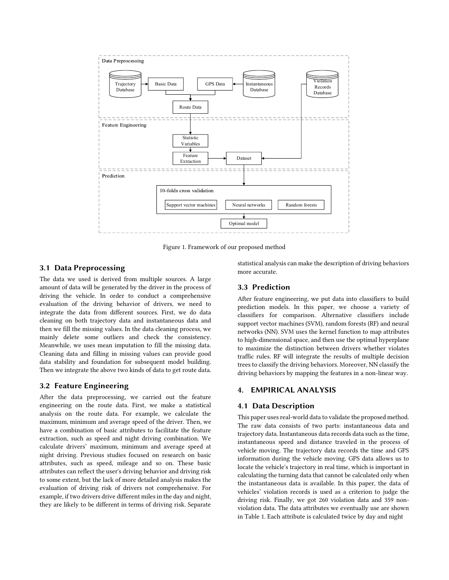

Figure 1. Framework of our proposed method

## 3.1 Data Preprocessing

The data we used is derived from multiple sources. A large amount of data will be generated by the driver in the process of driving the vehicle. In order to conduct a comprehensive evaluation of the driving behavior of drivers, we need to integrate the data from different sources. First, we do data cleaning on both trajectory data and instantaneous data and then we fill the missing values. In the data cleaning process, we mainly delete some outliers and check the consistency. Meanwhile, we uses mean imputation to fill the missing data. Cleaning data and filling in missing values can provide good data stability and foundation for subsequent model building. Then we integrate the above two kinds of data to get route data.

#### 3.2 Feature Engineering

After the data preprocessing, we carried out the feature engineering on the route data. First, we make a statistical analysis on the route data. For example, we calculate the maximum, minimum and average speed of the driver. Then, we have a combination of basic attributes to facilitate the feature extraction, such as speed and night driving combination. We calculate drivers' maximum, minimum and average speed at night driving. Previous studies focused on research on basic attributes, such as speed, mileage and so on. These basic attributes can reflect the user's driving behavior and driving risk to some extent, but the lack of more detailed analysis makes the evaluation of driving risk of drivers not comprehensive. For example, if two drivers drive different miles in the day and night, they are likely to be different in terms of driving risk. Separate

statistical analysis can make the description of driving behaviors more accurate.

#### 3.3 Prediction

After feature engineering, we put data into classifiers to build prediction models. In this paper, we choose a variety of classifiers for comparison. Alternative classifiers include support vector machines (SVM), random forests (RF) and neural networks (NN). SVM uses the kernel function to map attributes to high-dimensional space, and then use the optimal hyperplane to maximize the distinction between drivers whether violates traffic rules. RF will integrate the results of multiple decision trees to classify the driving behaviors. Moreover, NN classify the driving behaviors by mapping the features in a non-linear way.

## 4. EMPIRICAL ANALYSIS

## 4.1 Data Description

This paper uses real-world data to validate the proposed method. The raw data consists of two parts: instantaneous data and trajectory data. Instantaneous data records data such as the time, instantaneous speed and distance traveled in the process of vehicle moving. The trajectory data records the time and GPS information during the vehicle moving. GPS data allows us to locate the vehicle's trajectory in real time, which is important in calculating the turning data that cannot be calculated only when the instantaneous data is available. In this paper, the data of vehicles' violation records is used as a criterion to judge the driving risk. Finally, we got 260 violation data and 359 nonviolation data. The data attributes we eventually use are shown in Table 1. Each attribute is calculated twice by day and night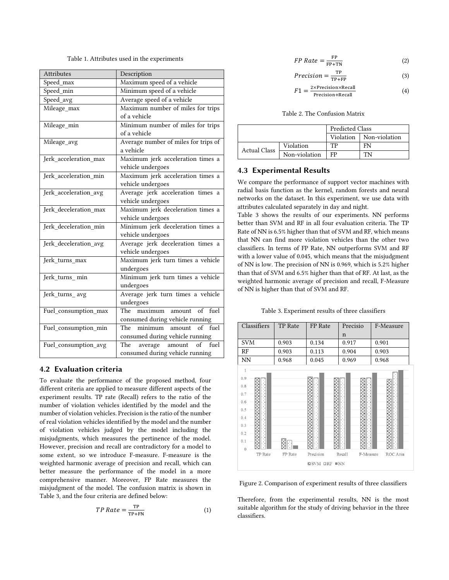Table 1. Attributes used in the experiments

| Attributes            | Description                                     |  |  |
|-----------------------|-------------------------------------------------|--|--|
| Speed_max             | Maximum speed of a vehicle                      |  |  |
| Speed_min             | Minimum speed of a vehicle                      |  |  |
| Speed_avg             | Average speed of a vehicle                      |  |  |
| Mileage_max           | Maximum number of miles for trips               |  |  |
|                       | of a vehicle                                    |  |  |
| Mileage_min           | Minimum number of miles for trips               |  |  |
|                       | of a vehicle                                    |  |  |
| Mileage_avg           | Average number of miles for trips of            |  |  |
|                       | a vehicle                                       |  |  |
| Jerk_acceleration_max | Maximum jerk acceleration times a               |  |  |
|                       | vehicle undergoes                               |  |  |
| Jerk_acceleration_min | Maximum jerk acceleration times a               |  |  |
|                       | vehicle undergoes                               |  |  |
| Jerk_acceleration_avg | Average jerk acceleration times a               |  |  |
|                       | vehicle undergoes                               |  |  |
| Jerk_deceleration_max | Maximum jerk deceleration times a               |  |  |
|                       | vehicle undergoes                               |  |  |
| Jerk_deceleration_min | Minimum jerk deceleration times a               |  |  |
|                       | vehicle undergoes                               |  |  |
| Jerk_deceleration_avg | Average jerk deceleration times a               |  |  |
|                       | vehicle undergoes                               |  |  |
| Jerk_turns_max        | Maximum jerk turn times a vehicle               |  |  |
|                       | undergoes                                       |  |  |
| Jerk turns min        | Minimum jerk turn times a vehicle               |  |  |
|                       | undergoes                                       |  |  |
| Jerk_turns_avg        | Average jerk turn times a vehicle               |  |  |
|                       | undergoes<br>fuel<br>$\sigma$<br>The<br>maximum |  |  |
| Fuel_consumption_max  | amount<br>consumed during vehicle running       |  |  |
| Fuel_consumption_min  | of fuel<br>minimum amount<br>The                |  |  |
|                       | consumed during vehicle running                 |  |  |
|                       | of fuel<br>amount                               |  |  |
| Fuel_consumption_avg  | The average<br>consumed during vehicle running  |  |  |
|                       |                                                 |  |  |

## 4.2 Evaluation criteria

To evaluate the performance of the proposed method, four different criteria are applied to measure different aspects of the experiment results. TP rate (Recall) refers to the ratio of the number of violation vehicles identified by the model and the number of violation vehicles. Precision is the ratio of the number of real violation vehicles identified by the model and the number of violation vehicles judged by the model including the misjudgments, which measures the pertinence of the model. However, precision and recall are contradictory for a model to some extent, so we introduce F-measure. F-measure is the weighted harmonic average of precision and recall, which can better measure the performance of the model in a more comprehensive manner. Moreover, FP Rate measures the misjudgment of the model. The confusion matrix is shown in Table 3, and the four criteria are defined below:

$$
TP Rate = \frac{TP}{TP+FN}
$$
 (1)

$$
FP Rate = \frac{FP}{FP + TN}
$$
 (2)

$$
Precision = \frac{TP}{TP + FP}
$$
 (3)

$$
F1 = \frac{2 \times \text{Precision} \times \text{Recall}}{\text{Precision} + \text{Recall}}
$$
(4)

Table 2. The Confusion Matrix

|                     |               | <b>Predicted Class</b> |               |  |
|---------------------|---------------|------------------------|---------------|--|
|                     |               | Violation              | Non-violation |  |
| <b>Actual Class</b> | Violation     | TP                     | FN            |  |
|                     | Non-violation | FP                     | TN            |  |

## 4.3 Experimental Results

We compare the performance of support vector machines with radial basis function as the kernel, random forests and neural networks on the dataset. In this experiment, we use data with attributes calculated separately in day and night.

Table 3 shows the results of our experiments. NN performs better than SVM and RF in all four evaluation criteria. The TP Rate of NN is 6.5% higher than that of SVM and RF, which means that NN can find more violation vehicles than the other two classifiers. In terms of FP Rate, NN outperforms SVM and RF with a lower value of 0.045, which means that the misjudgment of NN is low. The precision of NN is 0.969, which is 5.2% higher than that of SVM and 6.5% higher than that of RF. At last, as the weighted harmonic average of precision and recall, F-Measure of NN is higher than that of SVM and RF.

Table 3. Experiment results of three classifiers



Figure 2. Comparison of experiment results of three classifiers

Therefore, from the experimental results, NN is the most suitable algorithm for the study of driving behavior in the three classifiers.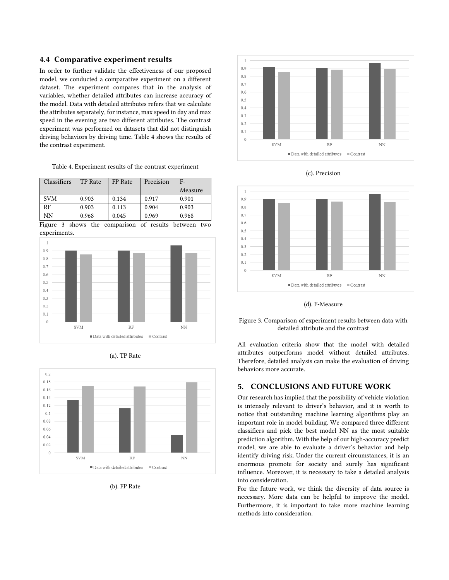## 4.4 Comparative experiment results

In order to further validate the effectiveness of our proposed model, we conducted a comparative experiment on a different dataset. The experiment compares that in the analysis of variables, whether detailed attributes can increase accuracy of the model. Data with detailed attributes refers that we calculate the attributes separately, for instance, max speed in day and max speed in the evening are two different attributes. The contrast experiment was performed on datasets that did not distinguish driving behaviors by driving time. Table 4 shows the results of the contrast experiment.

Table 4. Experiment results of the contrast experiment

| Classifiers | TP Rate | FP Rate | Precision | $F-$    |
|-------------|---------|---------|-----------|---------|
|             |         |         |           | Measure |
| <b>SVM</b>  | 0.903   | 0.134   | 0.917     | 0.901   |
| RF          | 0.903   | 0.113   | 0.904     | 0.903   |
| NN          | 0.968   | 0.045   | 0.969     | 0.968   |

Figure 3 shows the comparison of results between two experiments.







(b). FP Rate







(d). F-Measure

Figure 3. Comparison of experiment results between data with detailed attribute and the contrast

All evaluation criteria show that the model with detailed attributes outperforms model without detailed attributes. Therefore, detailed analysis can make the evaluation of driving behaviors more accurate.

## 5. CONCLUSIONS AND FUTURE WORK

Our research has implied that the possibility of vehicle violation is intensely relevant to driver's behavior, and it is worth to notice that outstanding machine learning algorithms play an important role in model building. We compared three different classifiers and pick the best model NN as the most suitable prediction algorithm. With the help of our high-accuracy predict model, we are able to evaluate a driver's behavior and help identify driving risk. Under the current circumstances, it is an enormous promote for society and surely has significant influence. Moreover, it is necessary to take a detailed analysis into consideration.

For the future work, we think the diversity of data source is necessary. More data can be helpful to improve the model. Furthermore, it is important to take more machine learning methods into consideration.